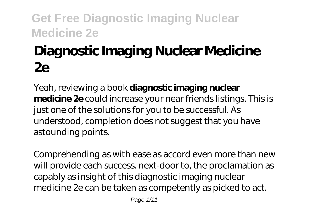# **Diagnostic Imaging Nuclear Medicine 2e**

Yeah, reviewing a book **diagnostic imaging nuclear medicine 2e** could increase your near friends listings. This is just one of the solutions for you to be successful. As understood, completion does not suggest that you have astounding points.

Comprehending as with ease as accord even more than new will provide each success. next-door to, the proclamation as capably as insight of this diagnostic imaging nuclear medicine 2e can be taken as competently as picked to act.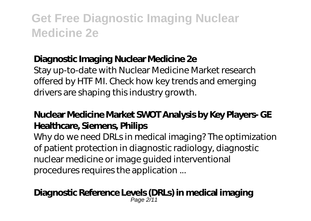### **Diagnostic Imaging Nuclear Medicine 2e**

Stay up-to-date with Nuclear Medicine Market research offered by HTF MI. Check how key trends and emerging drivers are shaping this industry growth.

### **Nuclear Medicine Market SWOT Analysis by Key Players- GE Healthcare, Siemens, Philips**

Why do we need DRLs in medical imaging? The optimization of patient protection in diagnostic radiology, diagnostic nuclear medicine or image guided interventional procedures requires the application ...

#### **Diagnostic Reference Levels (DRLs) in medical imaging** Page 2/11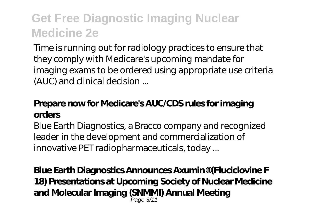Time is running out for radiology practices to ensure that they comply with Medicare's upcoming mandate for imaging exams to be ordered using appropriate use criteria (AUC) and clinical decision ...

### **Prepare now for Medicare's AUC/CDS rules for imaging orders**

Blue Earth Diagnostics, a Bracco company and recognized leader in the development and commercialization of innovative PET radiopharmaceuticals, today ...

**Blue Earth Diagnostics Announces Axumin® (Fluciclovine F 18) Presentations at Upcoming Society of Nuclear Medicine and Molecular Imaging (SNMMI) Annual Meeting** Page 3/11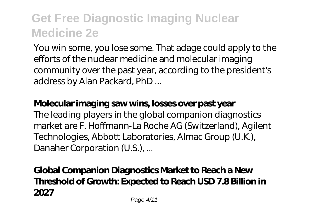You win some, you lose some. That adage could apply to the efforts of the nuclear medicine and molecular imaging community over the past year, according to the president's address by Alan Packard, PhD ...

### **Molecular imaging saw wins, losses over past year**

The leading players in the global companion diagnostics market are F. Hoffmann-La Roche AG (Switzerland), Agilent Technologies, Abbott Laboratories, Almac Group (U.K.), Danaher Corporation (U.S.), ...

## **Global Companion Diagnostics Market to Reach a New Threshold of Growth: Expected to Reach USD 7.8 Billion in 2027**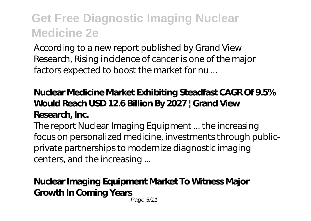According to a new report published by Grand View Research, Rising incidence of cancer is one of the major factors expected to boost the market for nu ...

## **Nuclear Medicine Market Exhibiting Steadfast CAGR Of 9.5% Would Reach USD 12.6 Billion By 2027 | Grand View Research, Inc.**

The report Nuclear Imaging Equipment ... the increasing focus on personalized medicine, investments through publicprivate partnerships to modernize diagnostic imaging centers, and the increasing ...

#### **Nuclear Imaging Equipment Market To Witness Major Growth In Coming Years** Page 5/11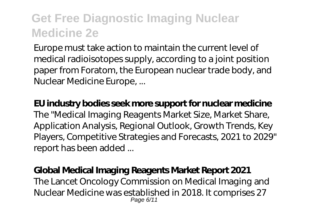Europe must take action to maintain the current level of medical radioisotopes supply, according to a joint position paper from Foratom, the European nuclear trade body, and Nuclear Medicine Europe, ...

**EU industry bodies seek more support for nuclear medicine** The "Medical Imaging Reagents Market Size, Market Share, Application Analysis, Regional Outlook, Growth Trends, Key Players, Competitive Strategies and Forecasts, 2021 to 2029" report has been added ...

#### **Global Medical Imaging Reagents Market Report 2021**

The Lancet Oncology Commission on Medical Imaging and Nuclear Medicine was established in 2018. It comprises 27 Page 6/11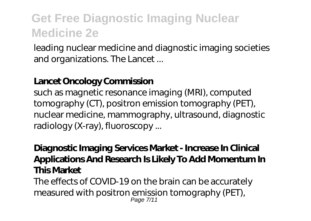leading nuclear medicine and diagnostic imaging societies and organizations. The Lancet ...

### **Lancet Oncology Commission**

such as magnetic resonance imaging (MRI), computed tomography (CT), positron emission tomography (PET), nuclear medicine, mammography, ultrasound, diagnostic radiology (X-ray), fluoroscopy ...

## **Diagnostic Imaging Services Market - Increase In Clinical Applications And Research Is Likely To Add Momentum In This Market**

The effects of COVID-19 on the brain can be accurately measured with positron emission tomography (PET), Page 7/11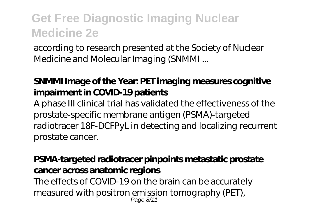according to research presented at the Society of Nuclear Medicine and Molecular Imaging (SNMMI ...

### **SNMMI Image of the Year: PET imaging measures cognitive impairment in COVID-19 patients**

A phase III clinical trial has validated the effectiveness of the prostate-specific membrane antigen (PSMA)-targeted radiotracer 18F-DCFPyL in detecting and localizing recurrent prostate cancer.

### **PSMA-targeted radiotracer pinpoints metastatic prostate cancer across anatomic regions**

The effects of COVID-19 on the brain can be accurately measured with positron emission tomography (PET), Page 8/11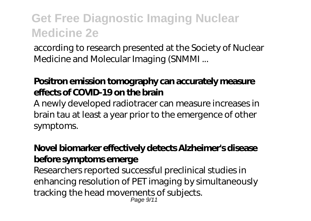according to research presented at the Society of Nuclear Medicine and Molecular Imaging (SNMMI ...

### **Positron emission tomography can accurately measure effects of COVID-19 on the brain**

A newly developed radiotracer can measure increases in brain tau at least a year prior to the emergence of other symptoms.

### **Novel biomarker effectively detects Alzheimer's disease before symptoms emerge**

Researchers reported successful preclinical studies in enhancing resolution of PET imaging by simultaneously tracking the head movements of subjects. Page 9/11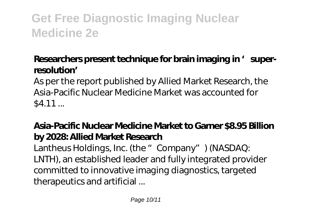### Researchers present technique for brain imaging in 'super**resolution'**

As per the report published by Allied Market Research, the Asia-Pacific Nuclear Medicine Market was accounted for  $$4.11...$ 

## **Asia-Pacific Nuclear Medicine Market to Garner \$8.95 Billion by 2028: Allied Market Research**

Lantheus Holdings, Inc. (the "Company") (NASDAQ: LNTH), an established leader and fully integrated provider committed to innovative imaging diagnostics, targeted therapeutics and artificial ...